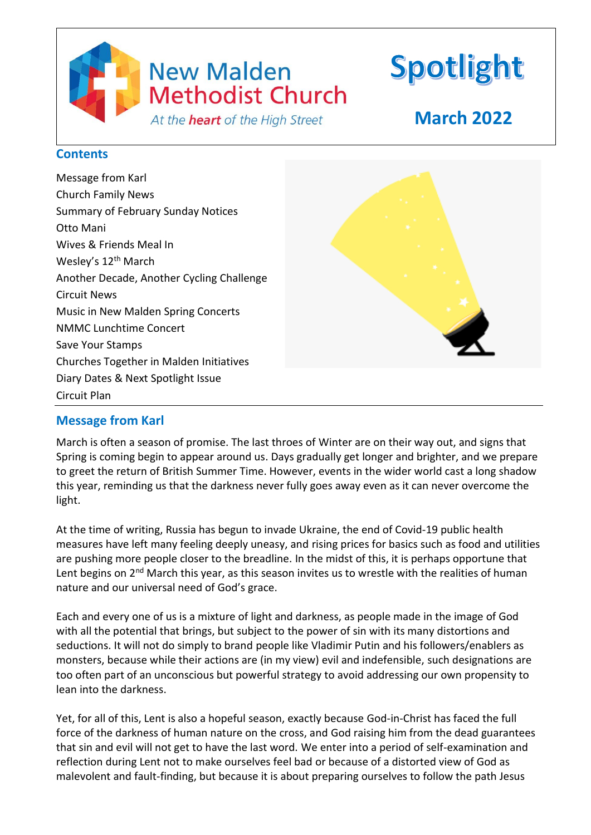

## **Message from Karl**

March is often a season of promise. The last throes of Winter are on their way out, and signs that Spring is coming begin to appear around us. Days gradually get longer and brighter, and we prepare to greet the return of British Summer Time. However, events in the wider world cast a long shadow this year, reminding us that the darkness never fully goes away even as it can never overcome the light.

At the time of writing, Russia has begun to invade Ukraine, the end of Covid-19 public health measures have left many feeling deeply uneasy, and rising prices for basics such as food and utilities are pushing more people closer to the breadline. In the midst of this, it is perhaps opportune that Lent begins on 2<sup>nd</sup> March this year, as this season invites us to wrestle with the realities of human nature and our universal need of God's grace.

Each and every one of us is a mixture of light and darkness, as people made in the image of God with all the potential that brings, but subject to the power of sin with its many distortions and seductions. It will not do simply to brand people like Vladimir Putin and his followers/enablers as monsters, because while their actions are (in my view) evil and indefensible, such designations are too often part of an unconscious but powerful strategy to avoid addressing our own propensity to lean into the darkness.

Yet, for all of this, Lent is also a hopeful season, exactly because God-in-Christ has faced the full force of the darkness of human nature on the cross, and God raising him from the dead guarantees that sin and evil will not get to have the last word. We enter into a period of self-examination and reflection during Lent not to make ourselves feel bad or because of a distorted view of God as malevolent and fault-finding, but because it is about preparing ourselves to follow the path Jesus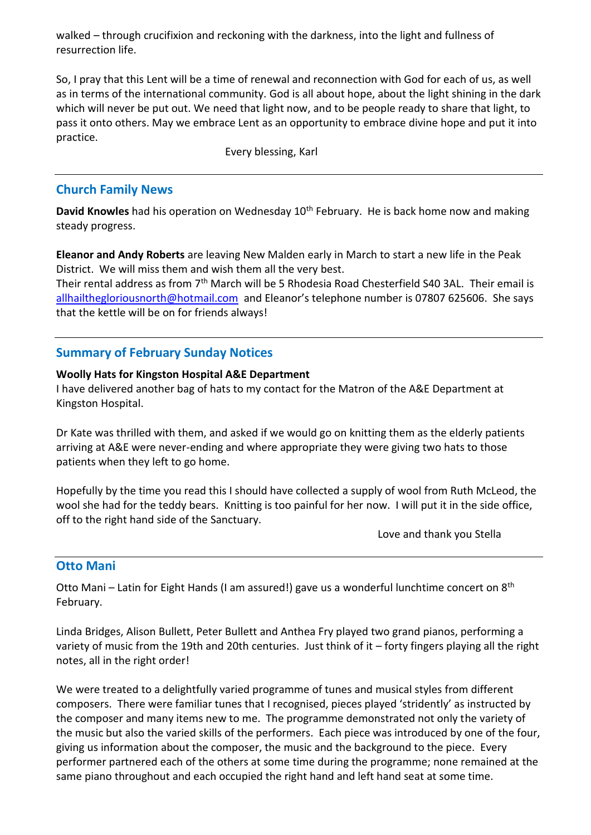walked – through crucifixion and reckoning with the darkness, into the light and fullness of resurrection life.

So, I pray that this Lent will be a time of renewal and reconnection with God for each of us, as well as in terms of the international community. God is all about hope, about the light shining in the dark which will never be put out. We need that light now, and to be people ready to share that light, to pass it onto others. May we embrace Lent as an opportunity to embrace divine hope and put it into practice.

Every blessing, Karl

### **Church Family News**

**David Knowles** had his operation on Wednesday 10<sup>th</sup> February. He is back home now and making steady progress.

**Eleanor and Andy Roberts** are leaving New Malden early in March to start a new life in the Peak District. We will miss them and wish them all the very best.

Their rental address as from 7th March will be 5 Rhodesia Road Chesterfield S40 3AL. Their email is [allhailthegloriousnorth@hotmail.com](mailto:allhailthegloriousnorth@hotmail.com) and Eleanor's telephone number is 07807 625606. She says that the kettle will be on for friends always!

## **Summary of February Sunday Notices**

#### **Woolly Hats for Kingston Hospital A&E Department**

I have delivered another bag of hats to my contact for the Matron of the A&E Department at Kingston Hospital.

Dr Kate was thrilled with them, and asked if we would go on knitting them as the elderly patients arriving at A&E were never-ending and where appropriate they were giving two hats to those patients when they left to go home.

Hopefully by the time you read this I should have collected a supply of wool from Ruth McLeod, the wool she had for the teddy bears. Knitting is too painful for her now. I will put it in the side office, off to the right hand side of the Sanctuary.

Love and thank you Stella

### **Otto Mani**

Otto Mani – Latin for Eight Hands (I am assured!) gave us a wonderful lunchtime concert on 8<sup>th</sup> February.

Linda Bridges, Alison Bullett, Peter Bullett and Anthea Fry played two grand pianos, performing a variety of music from the 19th and 20th centuries. Just think of it – forty fingers playing all the right notes, all in the right order!

We were treated to a delightfully varied programme of tunes and musical styles from different composers. There were familiar tunes that I recognised, pieces played 'stridently' as instructed by the composer and many items new to me. The programme demonstrated not only the variety of the music but also the varied skills of the performers. Each piece was introduced by one of the four, giving us information about the composer, the music and the background to the piece. Every performer partnered each of the others at some time during the programme; none remained at the same piano throughout and each occupied the right hand and left hand seat at some time.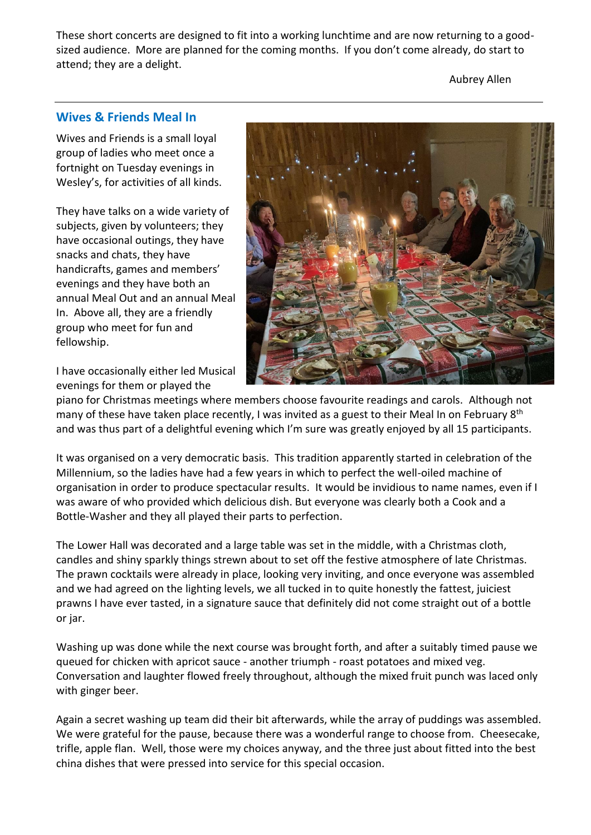These short concerts are designed to fit into a working lunchtime and are now returning to a goodsized audience. More are planned for the coming months. If you don't come already, do start to attend; they are a delight.

Aubrey Allen

### **Wives & Friends Meal In**

Wives and Friends is a small loyal group of ladies who meet once a fortnight on Tuesday evenings in Wesley's, for activities of all kinds.

They have talks on a wide variety of subjects, given by volunteers; they have occasional outings, they have snacks and chats, they have handicrafts, games and members' evenings and they have both an annual Meal Out and an annual Meal In. Above all, they are a friendly group who meet for fun and fellowship.

I have occasionally either led Musical evenings for them or played the



piano for Christmas meetings where members choose favourite readings and carols. Although not many of these have taken place recently, I was invited as a guest to their Meal In on February 8<sup>th</sup> and was thus part of a delightful evening which I'm sure was greatly enjoyed by all 15 participants.

It was organised on a very democratic basis. This tradition apparently started in celebration of the Millennium, so the ladies have had a few years in which to perfect the well-oiled machine of organisation in order to produce spectacular results. It would be invidious to name names, even if I was aware of who provided which delicious dish. But everyone was clearly both a Cook and a Bottle-Washer and they all played their parts to perfection.

The Lower Hall was decorated and a large table was set in the middle, with a Christmas cloth, candles and shiny sparkly things strewn about to set off the festive atmosphere of late Christmas. The prawn cocktails were already in place, looking very inviting, and once everyone was assembled and we had agreed on the lighting levels, we all tucked in to quite honestly the fattest, juiciest prawns I have ever tasted, in a signature sauce that definitely did not come straight out of a bottle or jar.

Washing up was done while the next course was brought forth, and after a suitably timed pause we queued for chicken with apricot sauce - another triumph - roast potatoes and mixed veg. Conversation and laughter flowed freely throughout, although the mixed fruit punch was laced only with ginger beer.

Again a secret washing up team did their bit afterwards, while the array of puddings was assembled. We were grateful for the pause, because there was a wonderful range to choose from. Cheesecake, trifle, apple flan. Well, those were my choices anyway, and the three just about fitted into the best china dishes that were pressed into service for this special occasion.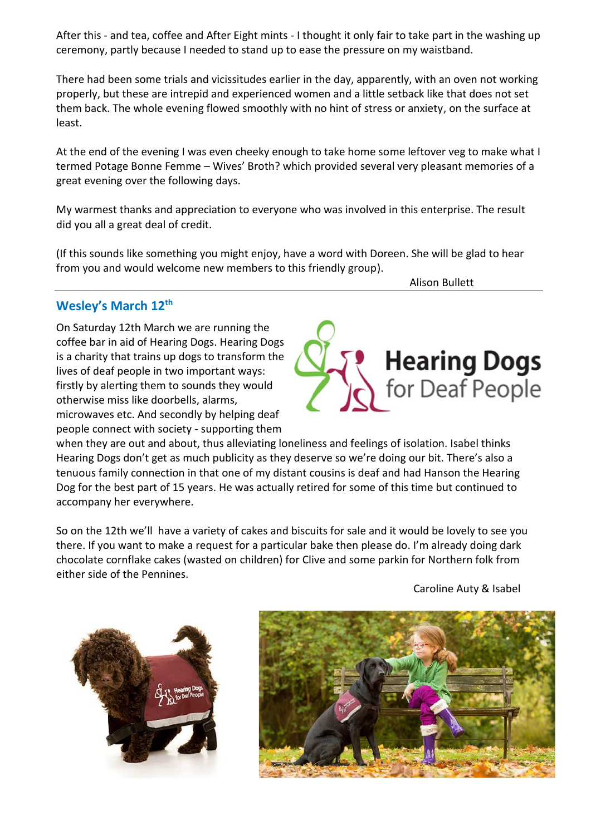After this - and tea, coffee and After Eight mints - I thought it only fair to take part in the washing up ceremony, partly because I needed to stand up to ease the pressure on my waistband.

There had been some trials and vicissitudes earlier in the day, apparently, with an oven not working properly, but these are intrepid and experienced women and a little setback like that does not set them back. The whole evening flowed smoothly with no hint of stress or anxiety, on the surface at least.

At the end of the evening I was even cheeky enough to take home some leftover veg to make what I termed Potage Bonne Femme – Wives' Broth? which provided several very pleasant memories of a great evening over the following days.

My warmest thanks and appreciation to everyone who was involved in this enterprise. The result did you all a great deal of credit.

(If this sounds like something you might enjoy, have a word with Doreen. She will be glad to hear from you and would welcome new members to this friendly group).

Alison Bullett

## **Wesley's March 12th**

On Saturday 12th March we are running the coffee bar in aid of Hearing Dogs. Hearing Dogs is a charity that trains up dogs to transform the lives of deaf people in two important ways: firstly by alerting them to sounds they would otherwise miss like doorbells, alarms, microwaves etc. And secondly by helping deaf people connect with society - supporting them

when they are out and about, thus alleviating loneliness and feelings of isolation. Isabel thinks Hearing Dogs don't get as much publicity as they deserve so we're doing our bit. There's also a tenuous family connection in that one of my distant cousins is deaf and had Hanson the Hearing Dog for the best part of 15 years. He was actually retired for some of this time but continued to accompany her everywhere.

So on the 12th we'll have a variety of cakes and biscuits for sale and it would be lovely to see you there. If you want to make a request for a particular bake then please do. I'm already doing dark chocolate cornflake cakes (wasted on children) for Clive and some parkin for Northern folk from either side of the Pennines.

Caroline Auty & Isabel





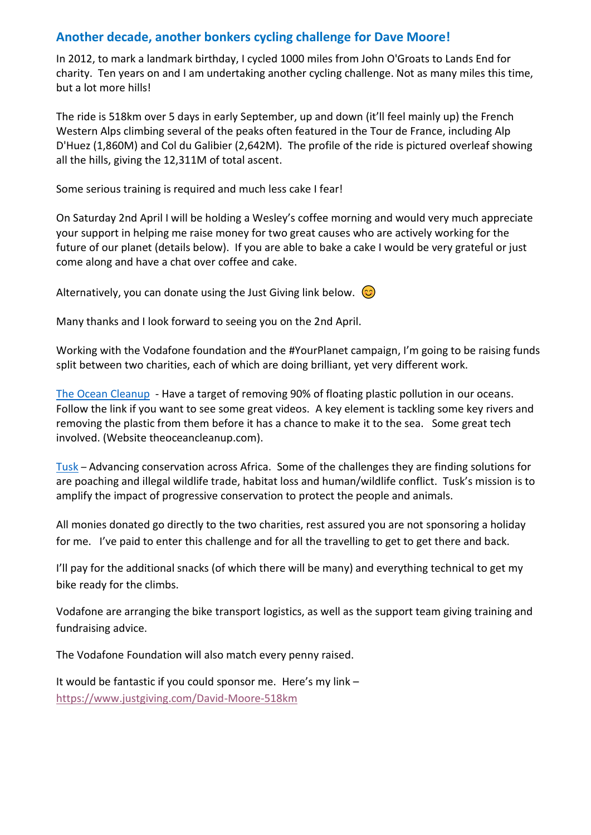## **Another decade, another bonkers cycling challenge for Dave Moore!**

In 2012, to mark a landmark birthday, I cycled 1000 miles from John O'Groats to Lands End for charity. Ten years on and I am undertaking another cycling challenge. Not as many miles this time, but a lot more hills!

The ride is 518km over 5 days in early September, up and down (it'll feel mainly up) the French Western Alps climbing several of the peaks often featured in the Tour de France, including Alp D'Huez (1,860M) and Col du Galibier (2,642M). The profile of the ride is pictured overleaf showing all the hills, giving the 12,311M of total ascent.

Some serious training is required and much less cake I fear!

On Saturday 2nd April I will be holding a Wesley's coffee morning and would very much appreciate your support in helping me raise money for two great causes who are actively working for the future of our planet (details below). If you are able to bake a cake I would be very grateful or just come along and have a chat over coffee and cake.

Alternatively, you can donate using the Just Giving link below.  $\circled{c}$ 

Many thanks and I look forward to seeing you on the 2nd April.

Working with the Vodafone foundation and the #YourPlanet campaign, I'm going to be raising funds split between two charities, each of which are doing brilliant, yet very different work.

[The Ocean Cleanup](https://eur03.safelinks.protection.outlook.com/?url=https%3A%2F%2Ftheoceancleanup.com%2F&data=04%7C01%7CDavid.Moore%40vodafone.com%7C8243c36cc80c4c76d71e08d9eb1ba73e%7C68283f3b84874c86adb3a5228f18b893%7C0%7C0%7C637799326260697118%7CUnknown%7CTWFpbGZsb3d8eyJWIjoiMC4wLjAwMDAiLCJQIjoiV2luMzIiLCJBTiI6Ik1haWwiLCJXVCI6Mn0%3D%7C3000&sdata=5Gw2rSgbKvpwUuDiLtYJOskG8%2BvePL0zoZhW5seGR%2Bo%3D&reserved=0) - Have a target of removing 90% of floating plastic pollution in our oceans. Follow the link if you want to see some great videos. A key element is tackling some key rivers and removing the plastic from them before it has a chance to make it to the sea. Some great tech involved. (Website theoceancleanup.com).

[Tusk](https://eur03.safelinks.protection.outlook.com/?url=https%3A%2F%2Fwww.tusk.org%2F&data=04%7C01%7CDavid.Moore%40vodafone.com%7C8243c36cc80c4c76d71e08d9eb1ba73e%7C68283f3b84874c86adb3a5228f18b893%7C0%7C0%7C637799326260697118%7CUnknown%7CTWFpbGZsb3d8eyJWIjoiMC4wLjAwMDAiLCJQIjoiV2luMzIiLCJBTiI6Ik1haWwiLCJXVCI6Mn0%3D%7C3000&sdata=VOh2o6I9rZcg4bz56XZT0o2O3HZ%2BJl%2FzN0myGbl1h40%3D&reserved=0) – Advancing conservation across Africa. Some of the challenges they are finding solutions for are poaching and illegal wildlife trade, habitat loss and human/wildlife conflict. Tusk's mission is to amplify the impact of progressive conservation to protect the people and animals.

All monies donated go directly to the two charities, rest assured you are not sponsoring a holiday for me. I've paid to enter this challenge and for all the travelling to get to get there and back.

I'll pay for the additional snacks (of which there will be many) and everything technical to get my bike ready for the climbs.

Vodafone are arranging the bike transport logistics, as well as the support team giving training and fundraising advice.

The Vodafone Foundation will also match every penny raised.

It would be fantastic if you could sponsor me. Here's my link – <https://www.justgiving.com/David-Moore-518km>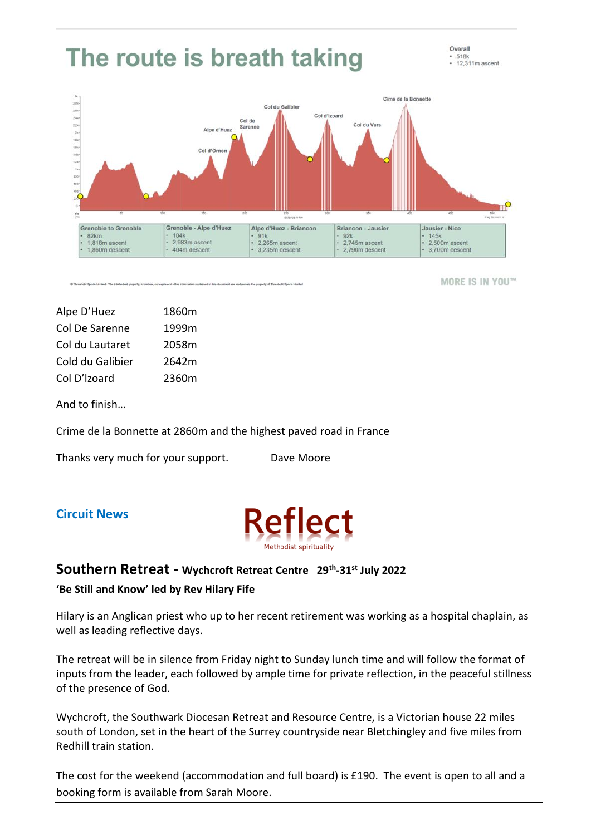

MORE IS IN YOU™

Alpe D'Huez 1860m Col De Sarenne 1999m Col du Lautaret 2058m Cold du Galibier 2642m Col D'lzoard 2360m

And to finish…

Crime de la Bonnette at 2860m and the highest paved road in France

Thanks very much for your support. Dave Moore

## **Circuit News**



# **Southern Retreat - Wychcroft Retreat Centre 29th -31st July 2022 'Be Still and Know' led by Rev Hilary Fife**

Hilary is an Anglican priest who up to her recent retirement was working as a hospital chaplain, as well as leading reflective days.

The retreat will be in silence from Friday night to Sunday lunch time and will follow the format of inputs from the leader, each followed by ample time for private reflection, in the peaceful stillness of the presence of God.

Wychcroft, the Southwark Diocesan Retreat and Resource Centre, is a Victorian house 22 miles south of London, set in the heart of the Surrey countryside near Bletchingley and five miles from Redhill train station.

The cost for the weekend (accommodation and full board) is £190. The event is open to all and a booking form is available from Sarah Moore.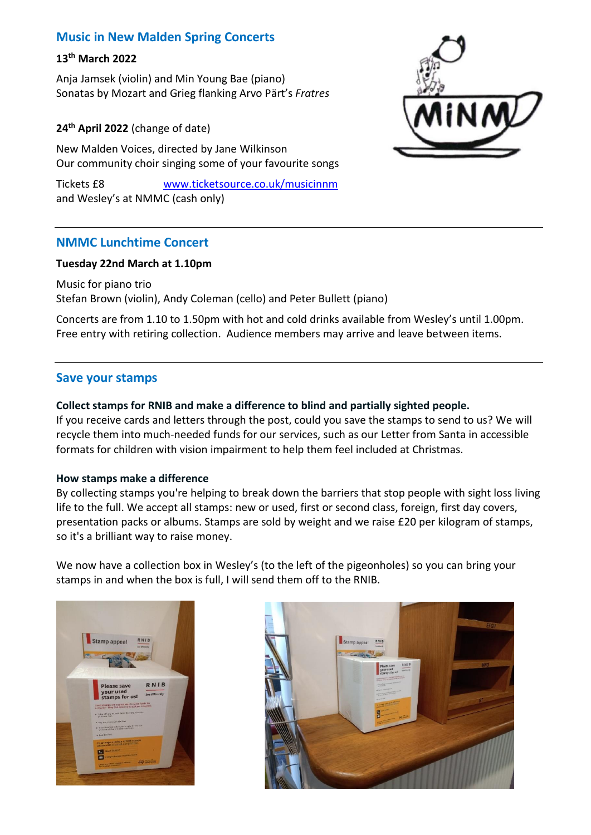## **Music in New Malden Spring Concerts**

## **13th March 2022**

Anja Jamsek (violin) and Min Young Bae (piano) Sonatas by Mozart and Grieg flanking Arvo Pärt's *Fratres*

#### **24th April 2022** (change of date)

New Malden Voices, directed by Jane Wilkinson Our community choir singing some of your favourite songs

Tickets £8 [www.ticketsource.co.uk/musicinnm](http://www.ticketsource.co.uk/musicinnm) and Wesley's at NMMC (cash only)



### **NMMC Lunchtime Concert**

#### **Tuesday 22nd March at 1.10pm**

Music for piano trio Stefan Brown (violin), Andy Coleman (cello) and Peter Bullett (piano)

Concerts are from 1.10 to 1.50pm with hot and cold drinks available from Wesley's until 1.00pm. Free entry with retiring collection. Audience members may arrive and leave between items.

### **Save your stamps**

#### **Collect stamps for RNIB and make a difference to blind and partially sighted people.**

If you receive cards and letters through the post, could you save the stamps to send to us? We will recycle them into much-needed funds for our services, such as our [Letter from Santa](https://www.rnib.org.uk/information-everyday-living/family-friends-and-carers/resources-parents-blind-or-partially-sighted/letter-santa) in accessible formats for children with vision impairment to help them feel included at Christmas.

#### **How stamps make a difference**

By collecting stamps you're helping to break down the barriers that stop people with sight loss living life to the full. We accept all stamps: new or used, first or second class, foreign, first day covers, presentation packs or albums. Stamps are sold by weight and we raise £20 per kilogram of stamps, so it's a brilliant way to raise money.

We now have a collection box in Wesley's (to the left of the pigeonholes) so you can bring your stamps in and when the box is full, I will send them off to the RNIB.



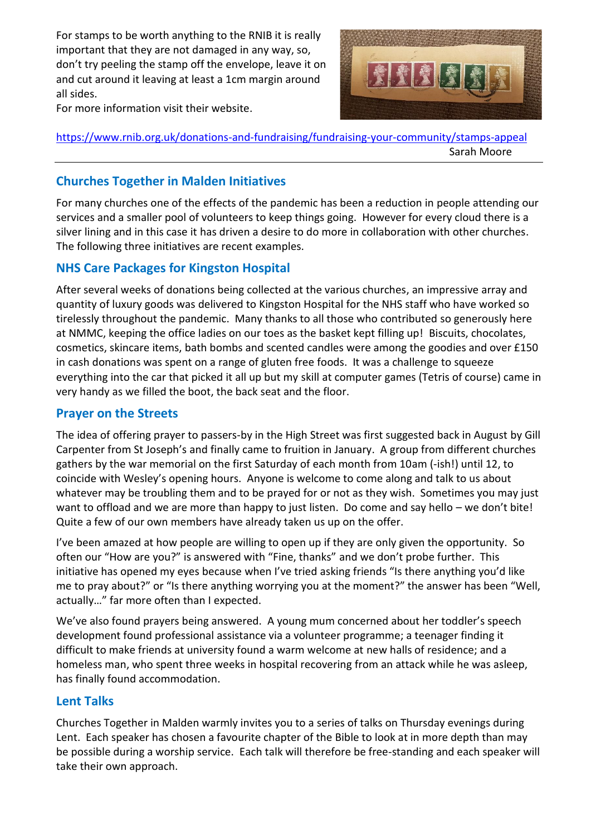For stamps to be worth anything to the RNIB it is really important that they are not damaged in any way, so, don't try peeling the stamp off the envelope, leave it on and cut around it leaving at least a 1cm margin around all sides.



For more information visit their website.

<https://www.rnib.org.uk/donations-and-fundraising/fundraising-your-community/stamps-appeal> Sarah Moore

# **Churches Together in Malden Initiatives**

For many churches one of the effects of the pandemic has been a reduction in people attending our services and a smaller pool of volunteers to keep things going. However for every cloud there is a silver lining and in this case it has driven a desire to do more in collaboration with other churches. The following three initiatives are recent examples.

# **NHS Care Packages for Kingston Hospital**

After several weeks of donations being collected at the various churches, an impressive array and quantity of luxury goods was delivered to Kingston Hospital for the NHS staff who have worked so tirelessly throughout the pandemic. Many thanks to all those who contributed so generously here at NMMC, keeping the office ladies on our toes as the basket kept filling up! Biscuits, chocolates, cosmetics, skincare items, bath bombs and scented candles were among the goodies and over £150 in cash donations was spent on a range of gluten free foods. It was a challenge to squeeze everything into the car that picked it all up but my skill at computer games (Tetris of course) came in very handy as we filled the boot, the back seat and the floor.

## **Prayer on the Streets**

The idea of offering prayer to passers-by in the High Street was first suggested back in August by Gill Carpenter from St Joseph's and finally came to fruition in January. A group from different churches gathers by the war memorial on the first Saturday of each month from 10am (-ish!) until 12, to coincide with Wesley's opening hours. Anyone is welcome to come along and talk to us about whatever may be troubling them and to be prayed for or not as they wish. Sometimes you may just want to offload and we are more than happy to just listen. Do come and say hello – we don't bite! Quite a few of our own members have already taken us up on the offer.

I've been amazed at how people are willing to open up if they are only given the opportunity. So often our "How are you?" is answered with "Fine, thanks" and we don't probe further. This initiative has opened my eyes because when I've tried asking friends "Is there anything you'd like me to pray about?" or "Is there anything worrying you at the moment?" the answer has been "Well, actually…" far more often than I expected.

We've also found prayers being answered. A young mum concerned about her toddler's speech development found professional assistance via a volunteer programme; a teenager finding it difficult to make friends at university found a warm welcome at new halls of residence; and a homeless man, who spent three weeks in hospital recovering from an attack while he was asleep, has finally found accommodation.

# **Lent Talks**

Churches Together in Malden warmly invites you to a series of talks on Thursday evenings during Lent. Each speaker has chosen a favourite chapter of the Bible to look at in more depth than may be possible during a worship service. Each talk will therefore be free-standing and each speaker will take their own approach.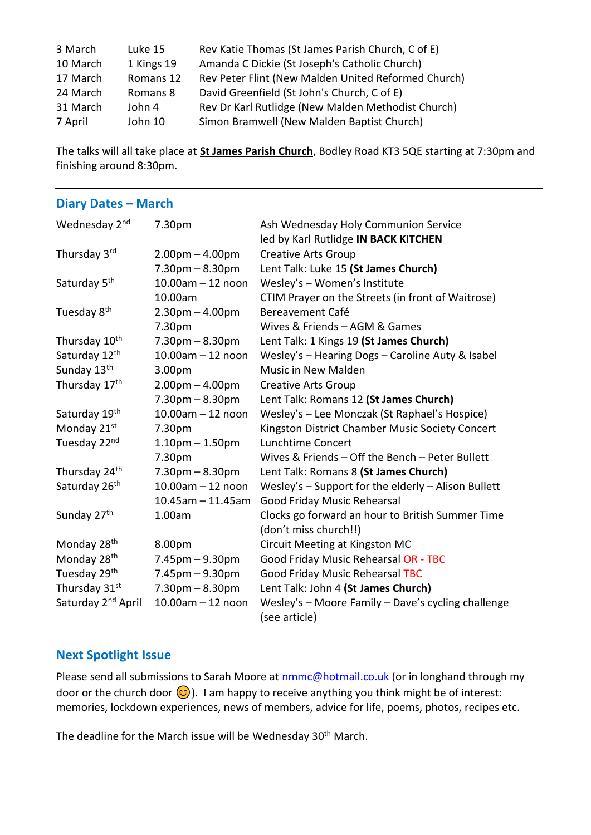| 3 March  | Luke 15    | Rev Katie Thomas (St James Parish Church, C of E)   |
|----------|------------|-----------------------------------------------------|
| 10 March | 1 Kings 19 | Amanda C Dickie (St Joseph's Catholic Church)       |
| 17 March | Romans 12  | Rev Peter Flint (New Malden United Reformed Church) |
| 24 March | Romans 8   | David Greenfield (St John's Church, C of E)         |
| 31 March | John 4     | Rev Dr Karl Rutlidge (New Malden Methodist Church)  |
| 7 April  | John 10    | Simon Bramwell (New Malden Baptist Church)          |

The talks will all take place at **St James Parish Church**, Bodley Road KT3 5QE starting at 7:30pm and finishing around 8:30pm.

#### **Diary Dates – March**

| Wednesday 2nd                  | 7.30pm                 | Ash Wednesday Holy Communion Service<br>led by Karl Rutlidge IN BACK KITCHEN |  |  |  |
|--------------------------------|------------------------|------------------------------------------------------------------------------|--|--|--|
| Thursday 3rd                   | $2.00pm - 4.00pm$      | <b>Creative Arts Group</b>                                                   |  |  |  |
|                                | $7.30pm - 8.30pm$      | Lent Talk: Luke 15 (St James Church)                                         |  |  |  |
| Saturday 5 <sup>th</sup>       | $10.00$ am $- 12$ noon | Wesley's - Women's Institute                                                 |  |  |  |
|                                | 10.00am                | CTIM Prayer on the Streets (in front of Waitrose)                            |  |  |  |
| Tuesday 8 <sup>th</sup>        | $2.30$ pm $- 4.00$ pm  | Bereavement Café                                                             |  |  |  |
|                                | 7.30pm                 | Wives & Friends - AGM & Games                                                |  |  |  |
| Thursday 10 <sup>th</sup>      | $7.30pm - 8.30pm$      | Lent Talk: 1 Kings 19 (St James Church)                                      |  |  |  |
| Saturday 12 <sup>th</sup>      | $10.00$ am $-12$ noon  | Wesley's - Hearing Dogs - Caroline Auty & Isabel                             |  |  |  |
| Sunday 13th                    | 3.00pm                 | <b>Music in New Malden</b>                                                   |  |  |  |
| Thursday 17 <sup>th</sup>      | $2.00pm - 4.00pm$      | <b>Creative Arts Group</b>                                                   |  |  |  |
|                                | $7.30pm - 8.30pm$      | Lent Talk: Romans 12 (St James Church)                                       |  |  |  |
| Saturday 19th                  | $10.00$ am $-12$ noon  | Wesley's - Lee Monczak (St Raphael's Hospice)                                |  |  |  |
| Monday 21st                    | 7.30pm                 | Kingston District Chamber Music Society Concert                              |  |  |  |
| Tuesday 22nd                   | $1.10pm - 1.50pm$      | Lunchtime Concert                                                            |  |  |  |
|                                | 7.30pm                 | Wives & Friends - Off the Bench - Peter Bullett                              |  |  |  |
| Thursday 24 <sup>th</sup>      | $7.30pm - 8.30pm$      | Lent Talk: Romans 8 (St James Church)                                        |  |  |  |
| Saturday 26 <sup>th</sup>      | $10.00$ am $- 12$ noon | Wesley's - Support for the elderly - Alison Bullett                          |  |  |  |
|                                | $10.45$ am - 11.45am   | Good Friday Music Rehearsal                                                  |  |  |  |
| Sunday 27 <sup>th</sup>        | 1.00am                 | Clocks go forward an hour to British Summer Time                             |  |  |  |
|                                |                        | (don't miss church!!)                                                        |  |  |  |
| Monday 28 <sup>th</sup>        | 8.00pm                 | Circuit Meeting at Kingston MC                                               |  |  |  |
| Monday 28 <sup>th</sup>        | $7.45$ pm $-9.30$ pm   | Good Friday Music Rehearsal OR - TBC                                         |  |  |  |
| Tuesday 29th                   | $7.45$ pm $-9.30$ pm   | <b>Good Friday Music Rehearsal TBC</b>                                       |  |  |  |
| Thursday 31st                  | $7.30pm - 8.30pm$      | Lent Talk: John 4 (St James Church)                                          |  |  |  |
| Saturday 2 <sup>nd</sup> April | $10.00$ am $- 12$ noon | Wesley's - Moore Family - Dave's cycling challenge                           |  |  |  |
|                                |                        | (see article)                                                                |  |  |  |

### **Next Spotlight Issue**

Please send all submissions to Sarah Moore at [nmmc@hotmail.co.uk](mailto:nmmc@hotmail.co.uk) (or in longhand through my door or the church door  $\odot$ ). I am happy to receive anything you think might be of interest: memories, lockdown experiences, news of members, advice for life, poems, photos, recipes etc.

The deadline for the March issue will be Wednesday 30<sup>th</sup> March.